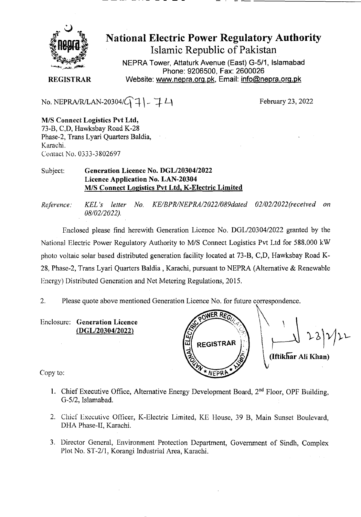

National Electric Power Regulatory Authority **1Slamic Republic of Pakistan** 

**NEPRA Tower, Attaturk Avenue (East) G-5/1, Islamabad Phone: 9206500, Fax: 2600026 REGISTRAR** Website: www.nepra.org.pk, Email: info@nepra.org.pk

No. NEPRA/R/LAN-20304/ $\bigcap$  7 | - 7 4

M/S Connect Logistics **Pvt Ltd,**  73-B, C,D, Hawksbay Road K-28 Phase-2, Trans Lyari Quarters Baldia, Karachi. Comact No. 0333-3802697

## Subject: **Generation Licence** No. DGL/20304/2022 Licence Application No. LAN-20304 MIS **Connect Logistics Pvt Ltd,** K**-Electric Limited**

*Reference: KEL 's letter No. KE/BPR/NEPRA/2022/089da1ed 02/02/2022 ('received on*  08/02/2022).

Enclosed please find herewith Generation Licence No. DGL/20304/2022 granted by the National Electric Power Regulatory Authority to MIS Connect Logistics Pvt Ltd for 588.000 kW photo voltaic solar based distributed generation facility located at 73-B, C,D, Hawksbay Road K-28. Phase-2, Trans Lyari Quarters Baldia , Karachi, pursuant to NEPRA (Alternative & Renewable Energy) Distributed Generation and Net Metering Regulations, 2015.

2. Please quote above mentioned Generation Licence No. for future correspondence.

Enclosure: Generation Licence *(DGLI2O3O4I2O2* 

NER RA **REGISTRAR (Iftikiir** All **Khan)** 

Copy to:

- 1. Chief Executive Office, Alternative Energy Development Board, 2<sup>nd</sup> Floor, OPF Building, G-5/2, Islamabad.
- 2. Chief Executive Officer, K-Electric Limited. KE Flouse, 39 B, Main Sunset Boulevard, DHA Phase-II, Karachi.
- 3. Director General, Environment Protection I)epartment, Government of Sindh, Complex Plot No. *ST-211,* Korangi Industrial Area, Karachi.